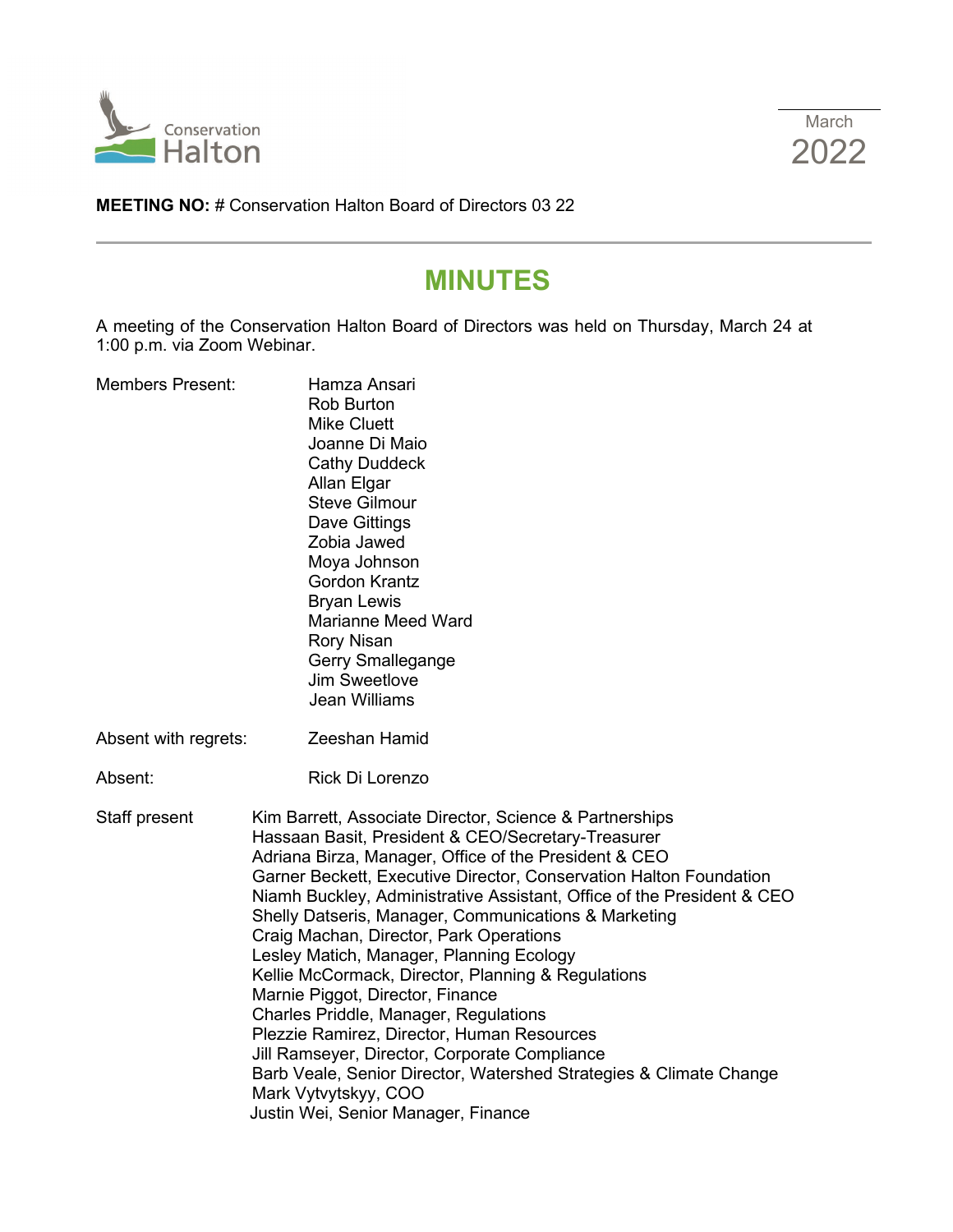



**MEETING NO:** # Conservation Halton Board of Directors 03 22

# **MINUTES**

A meeting of the Conservation Halton Board of Directors was held on Thursday, March 24 at 1:00 p.m. via Zoom Webinar.

| <b>Members Present:</b> | Hamza Ansari<br><b>Rob Burton</b><br><b>Mike Cluett</b><br>Joanne Di Maio<br><b>Cathy Duddeck</b><br>Allan Elgar<br><b>Steve Gilmour</b><br>Dave Gittings<br>Zobia Jawed<br>Moya Johnson<br>Gordon Krantz<br><b>Bryan Lewis</b><br><b>Marianne Meed Ward</b><br><b>Rory Nisan</b><br>Gerry Smallegange<br><b>Jim Sweetlove</b><br><b>Jean Williams</b>                                                                                                                                                                                                                                                                                                                                                                                                                                                                                       |  |
|-------------------------|----------------------------------------------------------------------------------------------------------------------------------------------------------------------------------------------------------------------------------------------------------------------------------------------------------------------------------------------------------------------------------------------------------------------------------------------------------------------------------------------------------------------------------------------------------------------------------------------------------------------------------------------------------------------------------------------------------------------------------------------------------------------------------------------------------------------------------------------|--|
| Absent with regrets:    | Zeeshan Hamid                                                                                                                                                                                                                                                                                                                                                                                                                                                                                                                                                                                                                                                                                                                                                                                                                                |  |
| Absent:                 | Rick Di Lorenzo                                                                                                                                                                                                                                                                                                                                                                                                                                                                                                                                                                                                                                                                                                                                                                                                                              |  |
| Staff present           | Kim Barrett, Associate Director, Science & Partnerships<br>Hassaan Basit, President & CEO/Secretary-Treasurer<br>Adriana Birza, Manager, Office of the President & CEO<br>Garner Beckett, Executive Director, Conservation Halton Foundation<br>Niamh Buckley, Administrative Assistant, Office of the President & CEO<br>Shelly Datseris, Manager, Communications & Marketing<br>Craig Machan, Director, Park Operations<br>Lesley Matich, Manager, Planning Ecology<br>Kellie McCormack, Director, Planning & Regulations<br>Marnie Piggot, Director, Finance<br>Charles Priddle, Manager, Regulations<br>Plezzie Ramirez, Director, Human Resources<br>Jill Ramseyer, Director, Corporate Compliance<br>Barb Veale, Senior Director, Watershed Strategies & Climate Change<br>Mark Vytvytskyy, COO<br>Justin Wei, Senior Manager, Finance |  |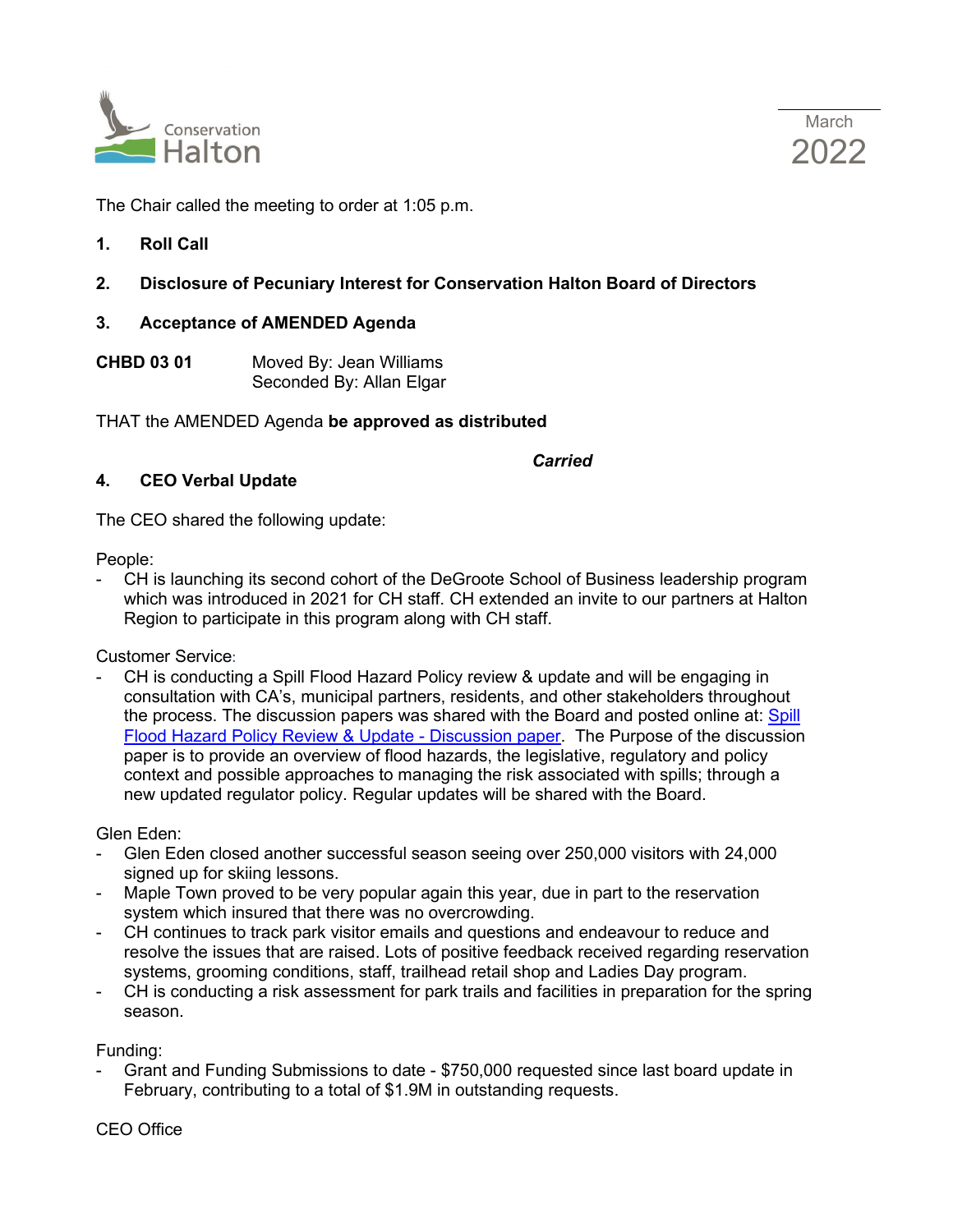



The Chair called the meeting to order at 1:05 p.m.

**1. Roll Call**

## **2. Disclosure of Pecuniary Interest for Conservation Halton Board of Directors**

#### **3. Acceptance of AMENDED Agenda**

**CHBD 03 01** Moved By: Jean Williams Seconded By: Allan Elgar

#### THAT the AMENDED Agenda **be approved as distributed**

# *Carried* **Carried**

#### **4. CEO Verbal Update**

The CEO shared the following update:

People:

- CH is launching its second cohort of the DeGroote School of Business leadership program which was introduced in 2021 for CH staff. CH extended an invite to our partners at Halton Region to participate in this program along with CH staff.

Customer Service:

CH is conducting a Spill Flood Hazard Policy review & update and will be engaging in consultation with CA's, municipal partners, residents, and other stakeholders throughout the process. The discussion papers was shared with the Board and posted online at: [Spill](https://conservationhalton.ca/spill-flood-hazard-policy-review-update)  [Flood Hazard Policy Review & Update - Discussion paper.](https://conservationhalton.ca/spill-flood-hazard-policy-review-update) The Purpose of the discussion paper is to provide an overview of flood hazards, the legislative, regulatory and policy context and possible approaches to managing the risk associated with spills; through a new updated regulator policy. Regular updates will be shared with the Board.

Glen Eden:

- Glen Eden closed another successful season seeing over 250,000 visitors with 24,000 signed up for skiing lessons.
- Maple Town proved to be very popular again this year, due in part to the reservation system which insured that there was no overcrowding.
- CH continues to track park visitor emails and questions and endeavour to reduce and resolve the issues that are raised. Lots of positive feedback received regarding reservation systems, grooming conditions, staff, trailhead retail shop and Ladies Day program.
- CH is conducting a risk assessment for park trails and facilities in preparation for the spring season.

Funding:

- Grant and Funding Submissions to date - \$750,000 requested since last board update in February, contributing to a total of \$1.9M in outstanding requests.

CEO Office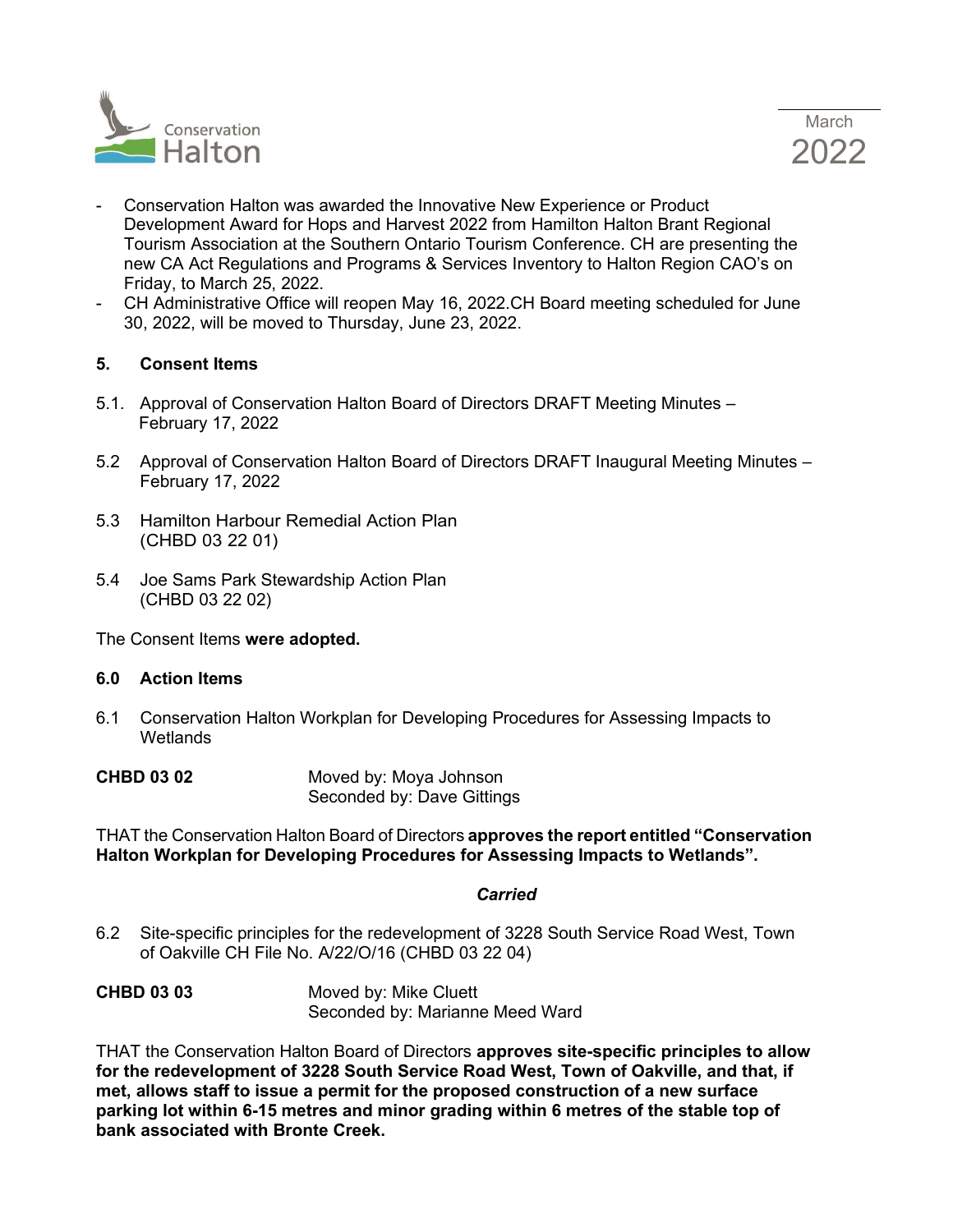



- Conservation Halton was awarded the Innovative New Experience or Product Development Award for Hops and Harvest 2022 from Hamilton Halton Brant Regional Tourism Association at the Southern Ontario Tourism Conference. CH are presenting the new CA Act Regulations and Programs & Services Inventory to Halton Region CAO's on Friday, to March 25, 2022.
- CH Administrative Office will reopen May 16, 2022.CH Board meeting scheduled for June 30, 2022, will be moved to Thursday, June 23, 2022.

#### **5. Consent Items**

- 5.1. Approval of Conservation Halton Board of Directors DRAFT Meeting Minutes February 17, 2022
- 5.2 Approval of Conservation Halton Board of Directors DRAFT Inaugural Meeting Minutes February 17, 2022
- 5.3 Hamilton Harbour Remedial Action Plan (CHBD 03 22 01)
- 5.4 Joe Sams Park Stewardship Action Plan (CHBD 03 22 02)

The Consent Items **were adopted.**

#### **6.0 Action Items**

- 6.1 Conservation Halton Workplan for Developing Procedures for Assessing Impacts to **Wetlands**
- **CHBD 03 02** Moved by: Moya Johnson Seconded by: Dave Gittings

THAT the Conservation Halton Board of Directors **approves the report entitled "Conservation Halton Workplan for Developing Procedures for Assessing Impacts to Wetlands".**

#### *Carried*

- 6.2 Site-specific principles for the redevelopment of 3228 South Service Road West, Town of Oakville CH File No. A/22/O/16 (CHBD 03 22 04)
- **CHBD 03 03** Moved by: Mike Cluett Seconded by: Marianne Meed Ward

THAT the Conservation Halton Board of Directors **approves site-specific principles to allow for the redevelopment of 3228 South Service Road West, Town of Oakville, and that, if met, allows staff to issue a permit for the proposed construction of a new surface parking lot within 6-15 metres and minor grading within 6 metres of the stable top of bank associated with Bronte Creek.**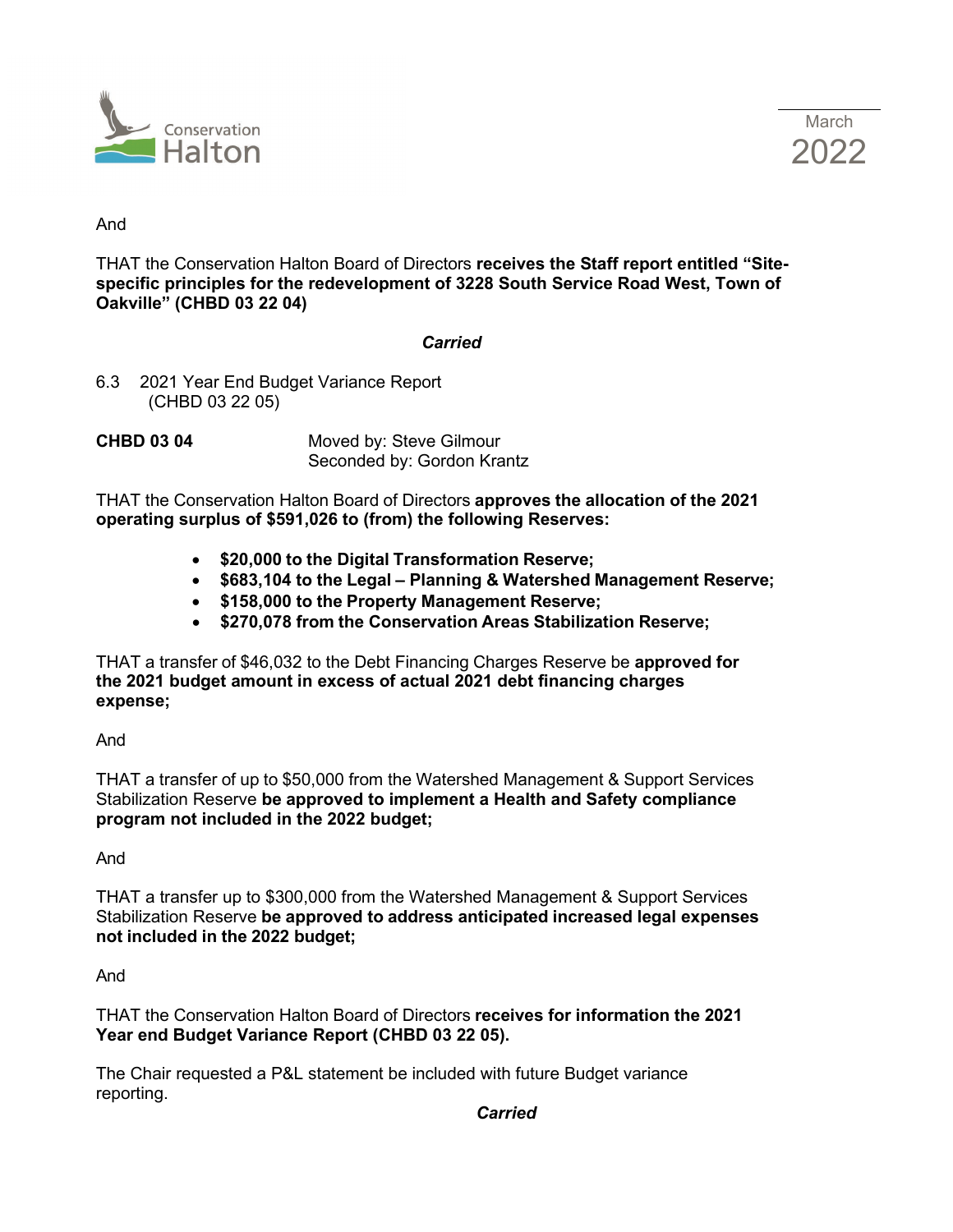



#### And

THAT the Conservation Halton Board of Directors **receives the Staff report entitled "Sitespecific principles for the redevelopment of 3228 South Service Road West, Town of Oakville" (CHBD 03 22 04)**

#### *Carried*

6.3 2021 Year End Budget Variance Report (CHBD 03 22 05)

**CHBD 03 04** Moved by: Steve Gilmour Seconded by: Gordon Krantz

THAT the Conservation Halton Board of Directors **approves the allocation of the 2021 operating surplus of \$591,026 to (from) the following Reserves:**

- **\$20,000 to the Digital Transformation Reserve;**
- **\$683,104 to the Legal Planning & Watershed Management Reserve;**
- **\$158,000 to the Property Management Reserve;**
- **\$270,078 from the Conservation Areas Stabilization Reserve;**

THAT a transfer of \$46,032 to the Debt Financing Charges Reserve be **approved for the 2021 budget amount in excess of actual 2021 debt financing charges expense;**

And

THAT a transfer of up to \$50,000 from the Watershed Management & Support Services Stabilization Reserve **be approved to implement a Health and Safety compliance program not included in the 2022 budget;**

And

THAT a transfer up to \$300,000 from the Watershed Management & Support Services Stabilization Reserve **be approved to address anticipated increased legal expenses not included in the 2022 budget;**

And

THAT the Conservation Halton Board of Directors **receives for information the 2021 Year end Budget Variance Report (CHBD 03 22 05).**

The Chair requested a P&L statement be included with future Budget variance reporting.

*Carried* **Carried**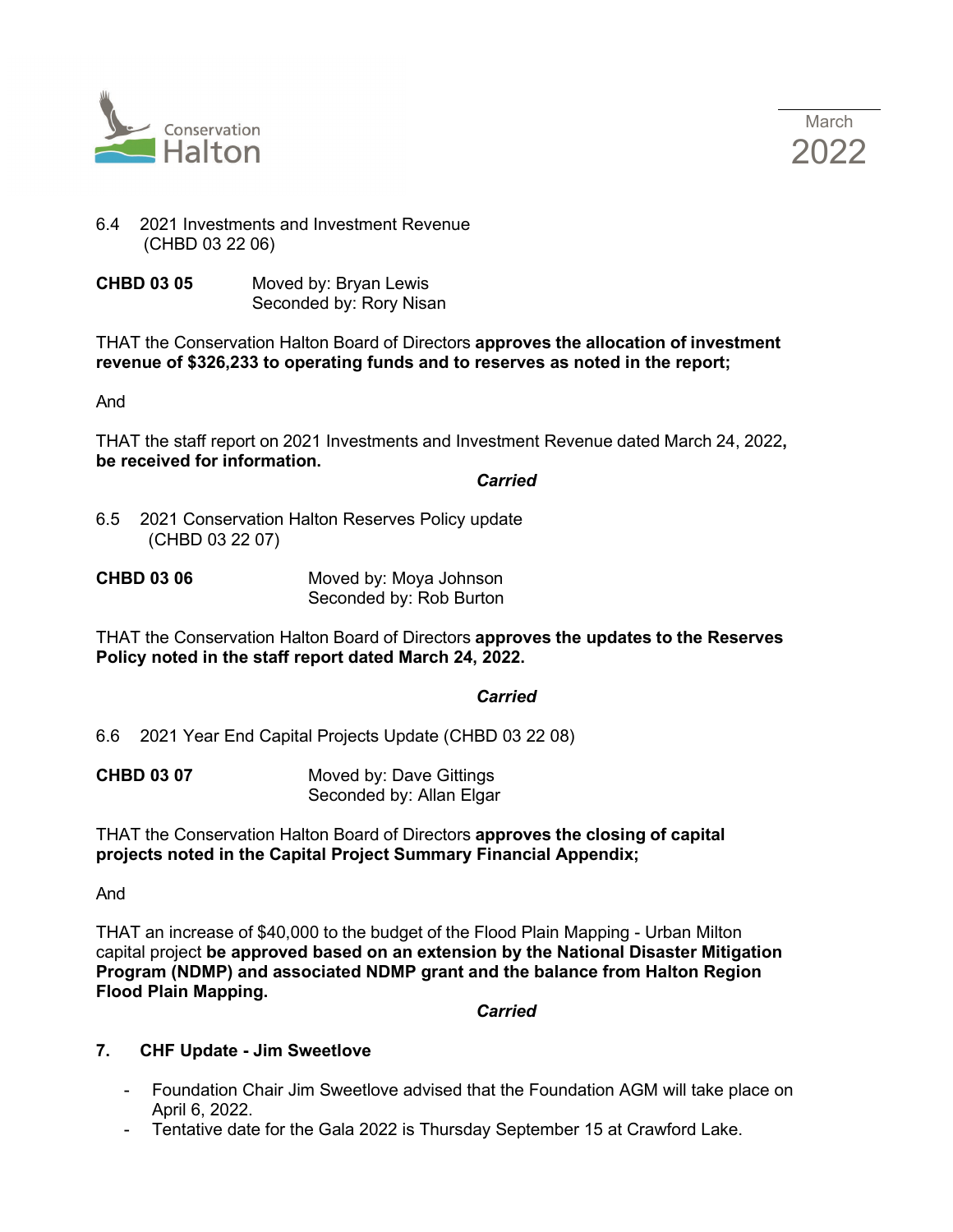



# 6.4 2021 Investments and Investment Revenue (CHBD 03 22 06)

**CHBD 03 05** Moved by: Bryan Lewis Seconded by: Rory Nisan

THAT the Conservation Halton Board of Directors **approves the allocation of investment revenue of \$326,233 to operating funds and to reserves as noted in the report;**

And

THAT the staff report on 2021 Investments and Investment Revenue dated March 24, 2022**, be received for information.**

*Carried* 

6.5 2021 Conservation Halton Reserves Policy update (CHBD 03 22 07)

| <b>CHBD 03 06</b> | Moved by: Moya Johnson  |
|-------------------|-------------------------|
|                   | Seconded by: Rob Burton |

THAT the Conservation Halton Board of Directors **approves the updates to the Reserves Policy noted in the staff report dated March 24, 2022.**

# *Carried*

6.6 2021 Year End Capital Projects Update (CHBD 03 22 08)

| <b>CHBD 03 07</b> | Moved by: Dave Gittings  |
|-------------------|--------------------------|
|                   | Seconded by: Allan Elgar |

THAT the Conservation Halton Board of Directors **approves the closing of capital projects noted in the Capital Project Summary Financial Appendix;**

And

THAT an increase of \$40,000 to the budget of the Flood Plain Mapping - Urban Milton capital project **be approved based on an extension by the National Disaster Mitigation Program (NDMP) and associated NDMP grant and the balance from Halton Region Flood Plain Mapping.**

*Carried* 

## **7. CHF Update - Jim Sweetlove**

- Foundation Chair Jim Sweetlove advised that the Foundation AGM will take place on April 6, 2022.
- Tentative date for the Gala 2022 is Thursday September 15 at Crawford Lake.